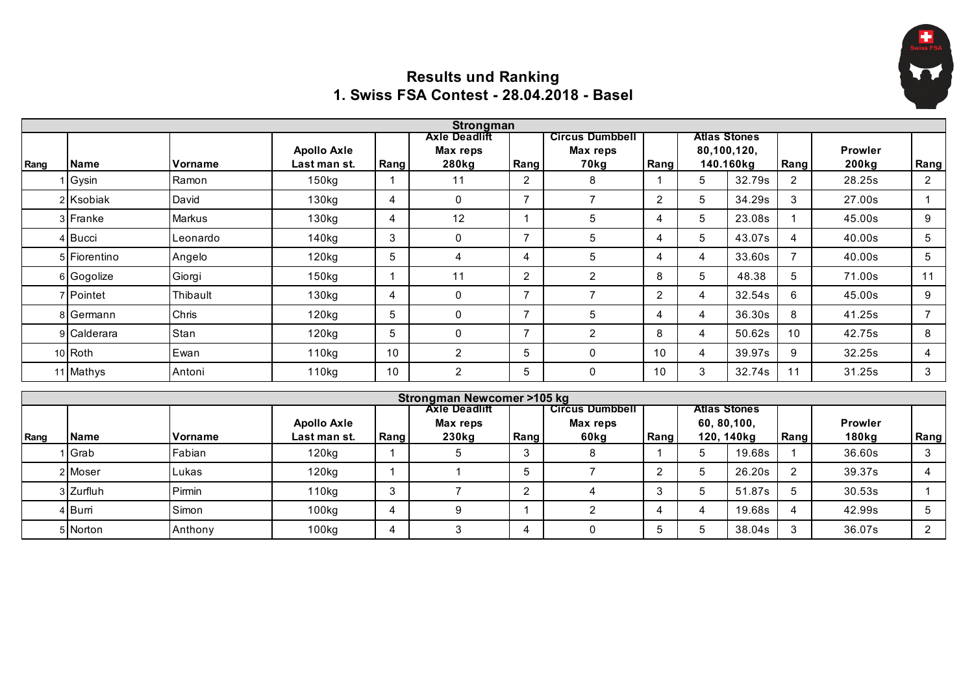

## **Results und Ranking 1. Swiss FSA Contest - 28.04.2018 - Basel**

|      |              |               |                    |      | <b>Strongman</b>                     |                |                        |                |                     |                     |      |                   |                |
|------|--------------|---------------|--------------------|------|--------------------------------------|----------------|------------------------|----------------|---------------------|---------------------|------|-------------------|----------------|
|      |              |               |                    |      | <b>Axle Deadlift</b>                 |                | <b>Circus Dumbbell</b> |                | <b>Atlas Stones</b> |                     |      |                   |                |
|      |              |               | <b>Apollo Axle</b> |      | <b>Max reps</b>                      |                | Max reps               |                |                     | 80,100,120,         |      | <b>Prowler</b>    |                |
| Rang | <b>Name</b>  | Vorname       | Last man st.       | Rang | 280kg                                | Rang           | 70kg                   | Rang           |                     | 140.160kg           | Rang | 200 <sub>kg</sub> | Rang           |
|      | Gysin        | Ramon         | 150 <sub>kg</sub>  |      | 11                                   | $\overline{2}$ | 8                      |                | 5                   | 32.79s              | 2    | 28.25s            | $\overline{2}$ |
|      | 2 Ksobiak    | David         | 130 <sub>kg</sub>  | 4    | $\mathbf{0}$                         |                | $\overline{7}$         | $\overline{2}$ | 5                   | 34.29s              | 3    | 27.00s            |                |
|      | 3 Franke     | <b>Markus</b> | 130kg              | 4    | 12                                   |                | 5                      | 4              | 5                   | 23.08s              |      | 45.00s            | 9              |
|      | 4 Bucci      | Leonardo      | 140kg              | 3    | $\mathbf{0}$                         |                | 5                      | 4              | 5                   | 43.07s              | 4    | 40.00s            | 5              |
|      | 5 Fiorentino | Angelo        | $120$ kg           | 5    | 4                                    |                | 5                      | 4              | 4                   | 33.60s              |      | 40.00s            | 5              |
|      | 6 Gogolize   | Giorgi        | 150 <sub>kg</sub>  |      | 11                                   | $\overline{2}$ | $\overline{2}$         | 8              | 5                   | 48.38               | 5    | 71.00s            | 11             |
|      | 7 Pointet    | Thibault      | 130kg              | 4    | $\Omega$                             |                |                        | $\overline{2}$ | 4                   | 32.54s              | 6    | 45.00s            | 9              |
|      | 8 Germann    | Chris         | $120$ kg           | 5    | $\Omega$                             |                | 5                      | 4              | 4                   | 36.30s              | 8    | 41.25s            | $\overline{7}$ |
|      | 9 Calderara  | Stan          | 120 <sub>kg</sub>  | 5    | $\mathbf{0}$                         |                | $\overline{2}$         | 8              | 4                   | 50.62s              | 10   | 42.75s            | 8              |
|      | 10 Roth      | Ewan          | 110 <sub>kg</sub>  | 10   | 2                                    | 5              | 0                      | 10             | 4                   | 39.97s              | 9    | 32.25s            | 4              |
|      | 11 Mathys    | Antoni        | 110kg              | 10   | $\overline{2}$                       | 5              | 0                      | 10             | 3                   | 32.74s              | 11   | 31.25s            | 3              |
|      |              |               |                    |      | <b>Strongman Newcomer &gt;105 kg</b> |                |                        |                |                     |                     |      |                   |                |
|      |              |               |                    |      | <b>Axle Deadlift</b>                 |                | <b>Circus Dumbbell</b> |                |                     | <b>Atlas Stones</b> |      |                   |                |
|      |              |               | <b>Apollo Axle</b> |      | Max reps                             |                | Max reps               |                |                     | 60, 80, 100,        |      | <b>Prowler</b>    |                |
| Rang | <b>Name</b>  | Vorname       | Last man st.       | Rang | 230kg                                | Rang           | 60kg                   | Rang           |                     | 120, 140kg          | Rang | 180kg             | Rang           |

 Grab Fabian 120kg 1 5 3 8 1 5 19.68s 1 36.60s 3 2|Moser |Lukas | 120kg | 1 | 1 | 5 | 7 | 2 | 5 | 26.20s | 2 | 39.37s | 4 Zurfluh Pirmin 110kg 3 7 2 4 3 5 51.87s 5 30.53s 1 Burri Simon 100kg 4 9 1 2 4 4 19.68s 4 42.99s 5 Norton Anthony 100kg 4 3 4 0 5 5 38.04s 3 36.07s 2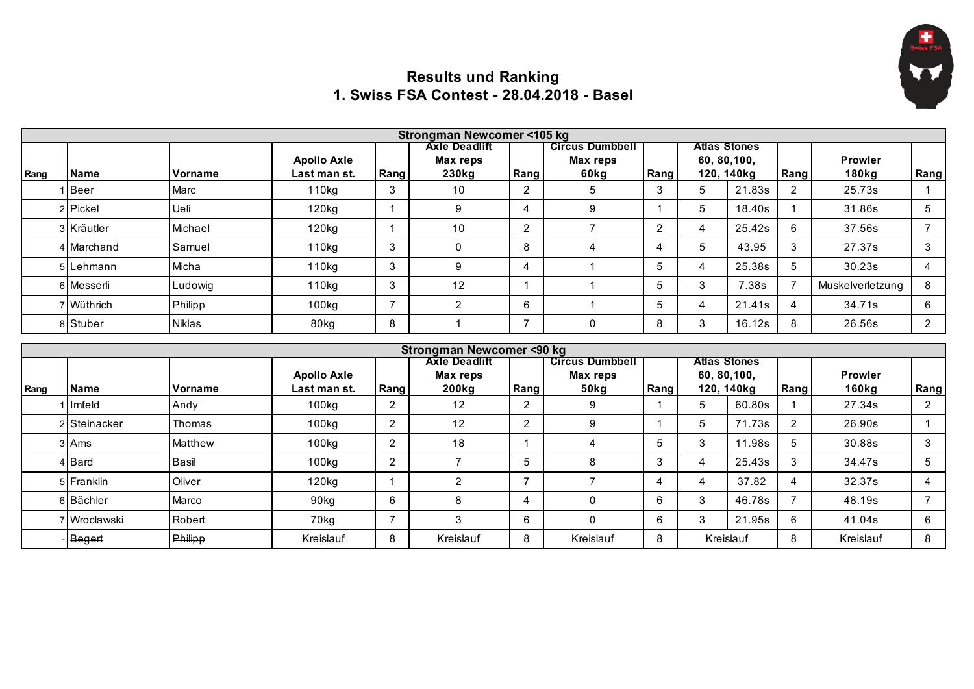

## **Results und Ranking 1. Swiss FSA Contest - 28.04.2018 - Basel**

|      | Strongman Newcomer <105 kg |                |                    |      |                      |      |                        |      |              |                     |      |                   |      |  |
|------|----------------------------|----------------|--------------------|------|----------------------|------|------------------------|------|--------------|---------------------|------|-------------------|------|--|
|      |                            |                |                    |      | <b>Axle Deadlift</b> |      | <b>Circus Dumbbell</b> |      |              | <b>Atlas Stones</b> |      |                   |      |  |
|      |                            |                | <b>Apollo Axle</b> |      | Max reps             |      | Max reps               |      |              | 60, 80, 100,        |      | <b>Prowler</b>    |      |  |
| Rang | <b>Name</b>                | <b>Vorname</b> | Last man st.       | Rang | 230kg                | Rang | 60kg                   | Rang |              | 120, 140kg          | Rang | 180 <sub>kg</sub> | Rang |  |
|      | <b>Beer</b>                | Marc           | 110 <sub>kg</sub>  | 3    | 10                   | ∩    | 5                      | 3    | 5            | 21.83s              | ົ    | 25.73s            |      |  |
|      | 2 Pickel                   | Ueli           | 120kg              |      |                      |      | 9                      |      | 5            | 18.40s              |      | 31.86s            | 5    |  |
|      | 3 Kräutler                 | Michael        | 120kg              |      | 10                   | C    |                        | 2    |              | 25.42s              | 6    | 37.56s            |      |  |
|      | 4 Marchand                 | Samuel         | 110 <sub>kg</sub>  | 3    |                      | 8    |                        | 4    | 5            | 43.95               | 3    | 27.37s            | 3    |  |
|      | 5 Lehmann                  | Micha          | 110kg              | 3    | 9                    |      |                        | 5    |              | 25.38s              |      | 30.23s            | 4    |  |
|      | 6 Messerli                 | Ludowig        | 110kg              | 3    | 12                   |      |                        | 5    | $\sim$<br>۰. | 7.38s               |      | Muskelverletzung  | 8    |  |
|      | 7 Wüthrich                 | Philipp        | 100kg              |      |                      | 6    |                        | 5    |              | 21.41s              | 4    | 34.71s            | 6    |  |
|      | 8 Stuber                   | <b>Niklas</b>  | 80kg               | 8    |                      |      | $\Omega$               | 8    | 3            | 16.12s              | 8    | 26.56s            | 2    |  |

|      |              |                |                    |                | Strongman Newcomer <90 kg        |      |                                    |      |                                     |            |      |                |      |
|------|--------------|----------------|--------------------|----------------|----------------------------------|------|------------------------------------|------|-------------------------------------|------------|------|----------------|------|
|      |              |                | <b>Apollo Axle</b> |                | <b>Axle Deadlift</b><br>Max reps |      | <b>Circus Dumbbell</b><br>Max reps |      | <b>Atlas Stones</b><br>60, 80, 100, |            |      | <b>Prowler</b> |      |
| Rang | <b>Name</b>  | <b>Vorname</b> | Last man st.       | Rang           | 200kg                            | Rang | 50 <sub>kg</sub>                   | Rang |                                     | 120, 140kg | Rang | 160ka          | Rang |
|      | Imfeld       | Andy           | 100kg              | C              | 12                               |      | 9                                  |      | 5.                                  | 60.80s     |      | 27.34s         | ົ    |
|      | 2 Steinacker | Thomas         | 100kg              | ົ              | 12                               |      | 9                                  |      | 5                                   | 71.73s     |      | 26.90s         |      |
|      | 3 Ams        | Matthew        | 100kg              | C              | 18                               |      | 4                                  | :5   | ົ                                   | 11.98s     |      | 30.88s         |      |
|      | 4 Bard       | Basil          | 100kg              | ົ              |                                  |      | 8                                  | 3    |                                     | 25.43s     |      | 34.47s         | b    |
|      | 5 Franklin   | <b>Oliver</b>  | 120 <sub>kg</sub>  |                |                                  |      |                                    | 4    |                                     | 37.82      | 4    | 32.37s         | 4    |
|      | 6 Bächler    | Marco          | 90kg               | 6              |                                  |      | 0                                  | 6    | ົ                                   | 46.78s     |      | 48.19s         |      |
|      | 7 Wroclawski | Robert         | 70kg               | $\overline{ }$ |                                  | 6    | 0                                  | 6    | ົ                                   | 21.95s     | 6    | 41.04s         | 6    |
|      | Begert       | Philipp        | Kreislauf          | 8              | Kreislauf                        | 8    | Kreislauf                          | 8    |                                     | Kreislauf  | 8    | Kreislauf      | 8    |